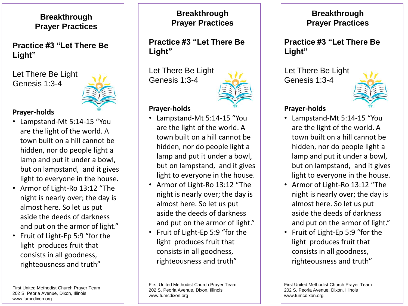**Breakthrough Prayer Practices**

**Practice #3 "Let There Be Light"**

Let There Be Light Genesis 1:3-4



#### **Prayer-holds**

- Lampstand-Mt 5:14-15 "You are the light of the world. A town built on a hill cannot be hidden, nor do people light a lamp and put it under a bowl, but on lampstand, and it gives light to everyone in the house.
- Armor of Light-Ro 13:12 "The night is nearly over; the day is almost here. So let us put aside the deeds of darkness and put on the armor of light."
- Fruit of Light-Ep 5:9 "for the light produces fruit that consists in all goodness, righteousness and truth"

First United Methodist Church Prayer Team 202 S. Peoria Avenue, Dixon, Illinois www.fumcdixon.org

**Breakthrough Prayer Practices**

**Practice #3 "Let There Be Light"**

Let There Be Light Genesis 1:3-4



#### **Prayer-holds**

- Lampstand-Mt 5:14-15 "You are the light of the world. A town built on a hill cannot be hidden, nor do people light a lamp and put it under a bowl, but on lampstand, and it gives light to everyone in the house.
- Armor of Light-Ro 13:12 "The night is nearly over; the day is almost here. So let us put aside the deeds of darkness and put on the armor of light."
- Fruit of Light-Ep 5:9 "for the light produces fruit that consists in all goodness, righteousness and truth"

First United Methodist Church Prayer Team 202 S. Peoria Avenue, Dixon, Illinois www.fumcdixon.org

#### **Breakthrough Prayer Practices**

**Practice #3 "Let There Be Light"**

Let There Be Light Genesis 1:3-4



### **Prayer-holds**

- Lampstand-Mt 5:14-15 "You are the light of the world. A town built on a hill cannot be hidden, nor do people light a lamp and put it under a bowl, but on lampstand, and it gives light to everyone in the house.
- Armor of Light-Ro 13:12 "The night is nearly over; the day is almost here. So let us put aside the deeds of darkness and put on the armor of light."
- Fruit of Light-Ep 5:9 "for the light produces fruit that consists in all goodness, righteousness and truth"

First United Methodist Church Prayer Team 202 S. Peoria Avenue, Dixon, Illinois www.fumcdixon.org